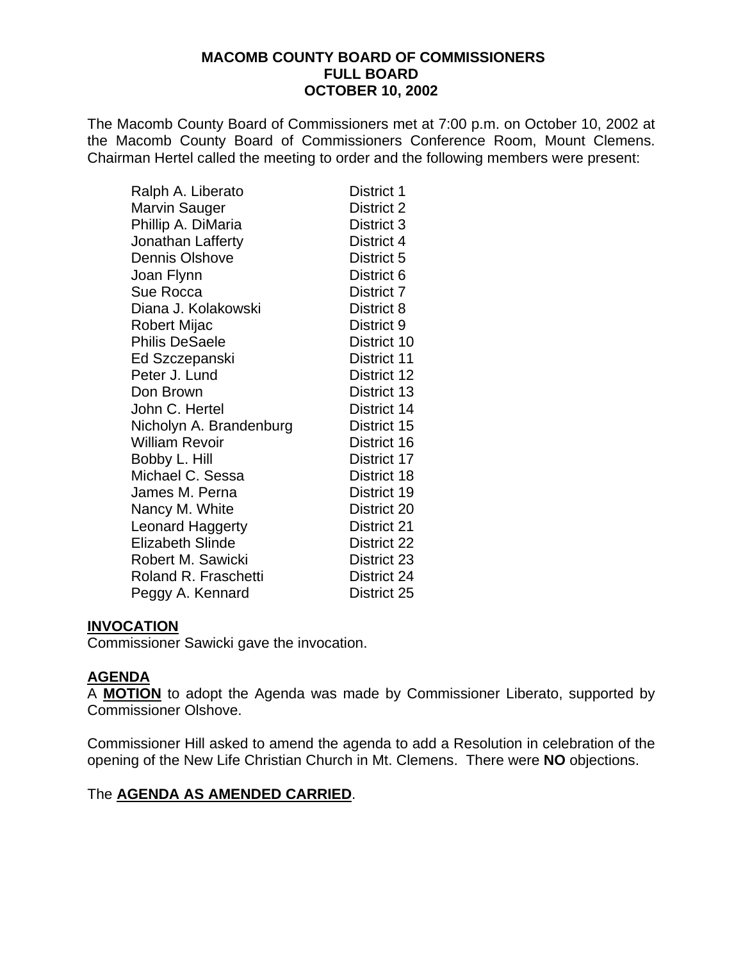### **MACOMB COUNTY BOARD OF COMMISSIONERS FULL BOARD OCTOBER 10, 2002**

The Macomb County Board of Commissioners met at 7:00 p.m. on October 10, 2002 at the Macomb County Board of Commissioners Conference Room, Mount Clemens. Chairman Hertel called the meeting to order and the following members were present:

| Ralph A. Liberato       | District 1  |
|-------------------------|-------------|
| Marvin Sauger           | District 2  |
| Phillip A. DiMaria      | District 3  |
| Jonathan Lafferty       | District 4  |
| <b>Dennis Olshove</b>   | District 5  |
| Joan Flynn              | District 6  |
| Sue Rocca               | District 7  |
| Diana J. Kolakowski     | District 8  |
| Robert Mijac            | District 9  |
| <b>Philis DeSaele</b>   | District 10 |
| Ed Szczepanski          | District 11 |
| Peter J. Lund           | District 12 |
| Don Brown               | District 13 |
| John C. Hertel          | District 14 |
| Nicholyn A. Brandenburg | District 15 |
| <b>William Revoir</b>   | District 16 |
| Bobby L. Hill           | District 17 |
| Michael C. Sessa        | District 18 |
| James M. Perna          | District 19 |
| Nancy M. White          | District 20 |
| <b>Leonard Haggerty</b> | District 21 |
| <b>Elizabeth Slinde</b> | District 22 |
| Robert M. Sawicki       | District 23 |
| Roland R. Fraschetti    | District 24 |
| Peggy A. Kennard        | District 25 |

## **INVOCATION**

Commissioner Sawicki gave the invocation.

# **AGENDA**

A **MOTION** to adopt the Agenda was made by Commissioner Liberato, supported by Commissioner Olshove.

Commissioner Hill asked to amend the agenda to add a Resolution in celebration of the opening of the New Life Christian Church in Mt. Clemens. There were **NO** objections.

## The **AGENDA AS AMENDED CARRIED**.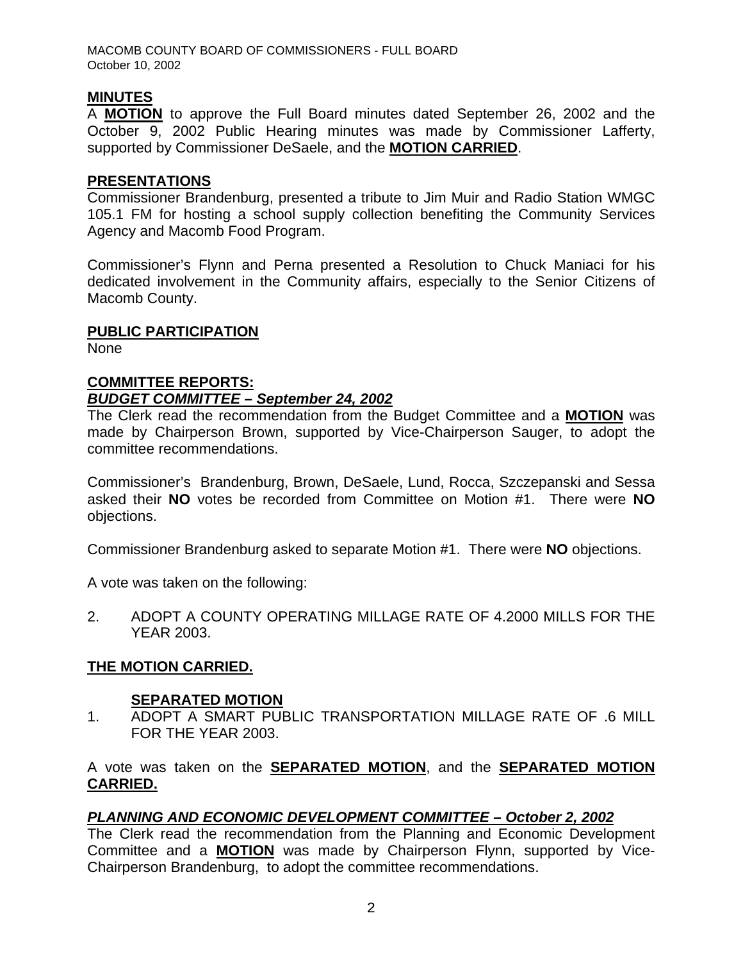MACOMB COUNTY BOARD OF COMMISSIONERS - FULL BOARD October 10, 2002

### **MINUTES**

A **MOTION** to approve the Full Board minutes dated September 26, 2002 and the October 9, 2002 Public Hearing minutes was made by Commissioner Lafferty, supported by Commissioner DeSaele, and the **MOTION CARRIED**.

#### **PRESENTATIONS**

Commissioner Brandenburg, presented a tribute to Jim Muir and Radio Station WMGC 105.1 FM for hosting a school supply collection benefiting the Community Services Agency and Macomb Food Program.

Commissioner's Flynn and Perna presented a Resolution to Chuck Maniaci for his dedicated involvement in the Community affairs, especially to the Senior Citizens of Macomb County.

#### **PUBLIC PARTICIPATION**

None

### **COMMITTEE REPORTS:**

#### *BUDGET COMMITTEE – September 24, 2002*

The Clerk read the recommendation from the Budget Committee and a **MOTION** was made by Chairperson Brown, supported by Vice-Chairperson Sauger, to adopt the committee recommendations.

Commissioner's Brandenburg, Brown, DeSaele, Lund, Rocca, Szczepanski and Sessa asked their **NO** votes be recorded from Committee on Motion #1. There were **NO** objections.

Commissioner Brandenburg asked to separate Motion #1. There were **NO** objections.

A vote was taken on the following:

2. ADOPT A COUNTY OPERATING MILLAGE RATE OF 4.2000 MILLS FOR THE YEAR 2003.

## **THE MOTION CARRIED.**

#### **SEPARATED MOTION**

1. ADOPT A SMART PUBLIC TRANSPORTATION MILLAGE RATE OF .6 MILL FOR THE YEAR 2003.

A vote was taken on the **SEPARATED MOTION**, and the **SEPARATED MOTION CARRIED.**

#### *PLANNING AND ECONOMIC DEVELOPMENT COMMITTEE – October 2, 2002*

The Clerk read the recommendation from the Planning and Economic Development Committee and a **MOTION** was made by Chairperson Flynn, supported by Vice-Chairperson Brandenburg, to adopt the committee recommendations.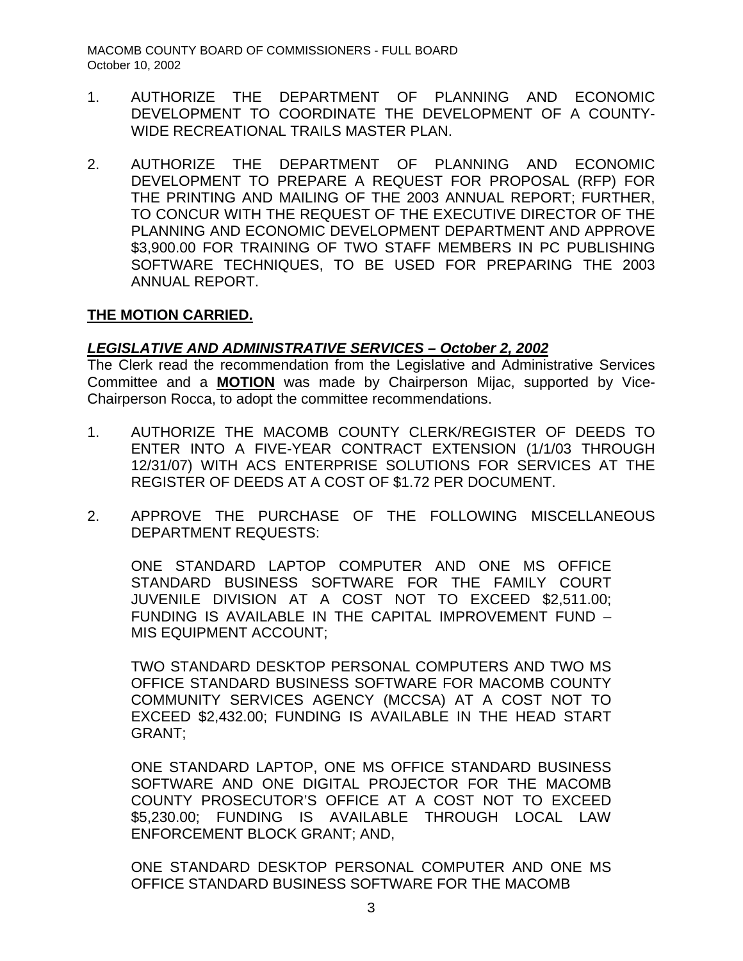- 1. AUTHORIZE THE DEPARTMENT OF PLANNING AND ECONOMIC DEVELOPMENT TO COORDINATE THE DEVELOPMENT OF A COUNTY-WIDE RECREATIONAL TRAILS MASTER PLAN.
- 2. AUTHORIZE THE DEPARTMENT OF PLANNING AND ECONOMIC DEVELOPMENT TO PREPARE A REQUEST FOR PROPOSAL (RFP) FOR THE PRINTING AND MAILING OF THE 2003 ANNUAL REPORT; FURTHER, TO CONCUR WITH THE REQUEST OF THE EXECUTIVE DIRECTOR OF THE PLANNING AND ECONOMIC DEVELOPMENT DEPARTMENT AND APPROVE \$3,900.00 FOR TRAINING OF TWO STAFF MEMBERS IN PC PUBLISHING SOFTWARE TECHNIQUES, TO BE USED FOR PREPARING THE 2003 ANNUAL REPORT.

# **THE MOTION CARRIED.**

## *LEGISLATIVE AND ADMINISTRATIVE SERVICES – October 2, 2002*

The Clerk read the recommendation from the Legislative and Administrative Services Committee and a **MOTION** was made by Chairperson Mijac, supported by Vice-Chairperson Rocca, to adopt the committee recommendations.

- 1. AUTHORIZE THE MACOMB COUNTY CLERK/REGISTER OF DEEDS TO ENTER INTO A FIVE-YEAR CONTRACT EXTENSION (1/1/03 THROUGH 12/31/07) WITH ACS ENTERPRISE SOLUTIONS FOR SERVICES AT THE REGISTER OF DEEDS AT A COST OF \$1.72 PER DOCUMENT.
- 2. APPROVE THE PURCHASE OF THE FOLLOWING MISCELLANEOUS DEPARTMENT REQUESTS:

ONE STANDARD LAPTOP COMPUTER AND ONE MS OFFICE STANDARD BUSINESS SOFTWARE FOR THE FAMILY COURT JUVENILE DIVISION AT A COST NOT TO EXCEED \$2,511.00; FUNDING IS AVAILABLE IN THE CAPITAL IMPROVEMENT FUND – MIS EQUIPMENT ACCOUNT;

TWO STANDARD DESKTOP PERSONAL COMPUTERS AND TWO MS OFFICE STANDARD BUSINESS SOFTWARE FOR MACOMB COUNTY COMMUNITY SERVICES AGENCY (MCCSA) AT A COST NOT TO EXCEED \$2,432.00; FUNDING IS AVAILABLE IN THE HEAD START GRANT;

ONE STANDARD LAPTOP, ONE MS OFFICE STANDARD BUSINESS SOFTWARE AND ONE DIGITAL PROJECTOR FOR THE MACOMB COUNTY PROSECUTOR'S OFFICE AT A COST NOT TO EXCEED \$5,230.00; FUNDING IS AVAILABLE THROUGH LOCAL LAW ENFORCEMENT BLOCK GRANT; AND,

ONE STANDARD DESKTOP PERSONAL COMPUTER AND ONE MS OFFICE STANDARD BUSINESS SOFTWARE FOR THE MACOMB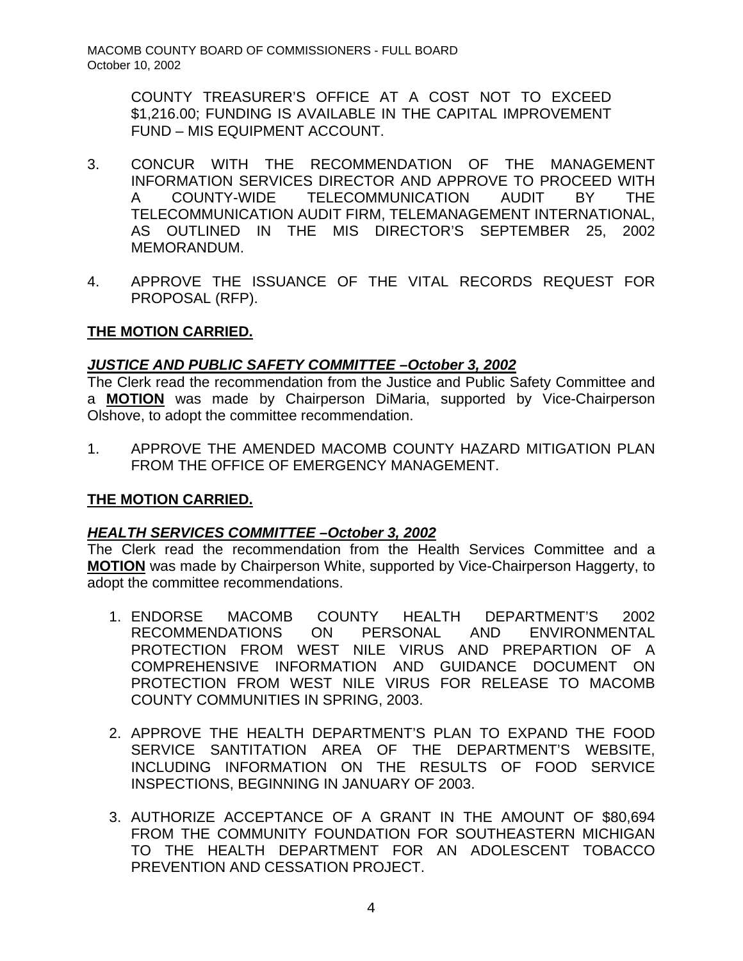COUNTY TREASURER'S OFFICE AT A COST NOT TO EXCEED \$1,216.00; FUNDING IS AVAILABLE IN THE CAPITAL IMPROVEMENT FUND – MIS EQUIPMENT ACCOUNT.

- 3. CONCUR WITH THE RECOMMENDATION OF THE MANAGEMENT INFORMATION SERVICES DIRECTOR AND APPROVE TO PROCEED WITH A COUNTY-WIDE TELECOMMUNICATION AUDIT BY THE TELECOMMUNICATION AUDIT FIRM, TELEMANAGEMENT INTERNATIONAL, AS OUTLINED IN THE MIS DIRECTOR'S SEPTEMBER 25, 2002 MEMORANDUM.
- 4. APPROVE THE ISSUANCE OF THE VITAL RECORDS REQUEST FOR PROPOSAL (RFP).

# **THE MOTION CARRIED.**

# *JUSTICE AND PUBLIC SAFETY COMMITTEE –October 3, 2002*

The Clerk read the recommendation from the Justice and Public Safety Committee and a **MOTION** was made by Chairperson DiMaria, supported by Vice-Chairperson Olshove, to adopt the committee recommendation.

1. APPROVE THE AMENDED MACOMB COUNTY HAZARD MITIGATION PLAN FROM THE OFFICE OF EMERGENCY MANAGEMENT.

## **THE MOTION CARRIED.**

## *HEALTH SERVICES COMMITTEE –October 3, 2002*

The Clerk read the recommendation from the Health Services Committee and a **MOTION** was made by Chairperson White, supported by Vice-Chairperson Haggerty, to adopt the committee recommendations.

- 1. ENDORSE MACOMB COUNTY HEALTH DEPARTMENT'S 2002 RECOMMENDATIONS ON PERSONAL AND ENVIRONMENTAL PROTECTION FROM WEST NILE VIRUS AND PREPARTION OF A COMPREHENSIVE INFORMATION AND GUIDANCE DOCUMENT ON PROTECTION FROM WEST NILE VIRUS FOR RELEASE TO MACOMB COUNTY COMMUNITIES IN SPRING, 2003.
- 2. APPROVE THE HEALTH DEPARTMENT'S PLAN TO EXPAND THE FOOD SERVICE SANTITATION AREA OF THE DEPARTMENT'S WEBSITE, INCLUDING INFORMATION ON THE RESULTS OF FOOD SERVICE INSPECTIONS, BEGINNING IN JANUARY OF 2003.
- 3. AUTHORIZE ACCEPTANCE OF A GRANT IN THE AMOUNT OF \$80,694 FROM THE COMMUNITY FOUNDATION FOR SOUTHEASTERN MICHIGAN TO THE HEALTH DEPARTMENT FOR AN ADOLESCENT TOBACCO PREVENTION AND CESSATION PROJECT.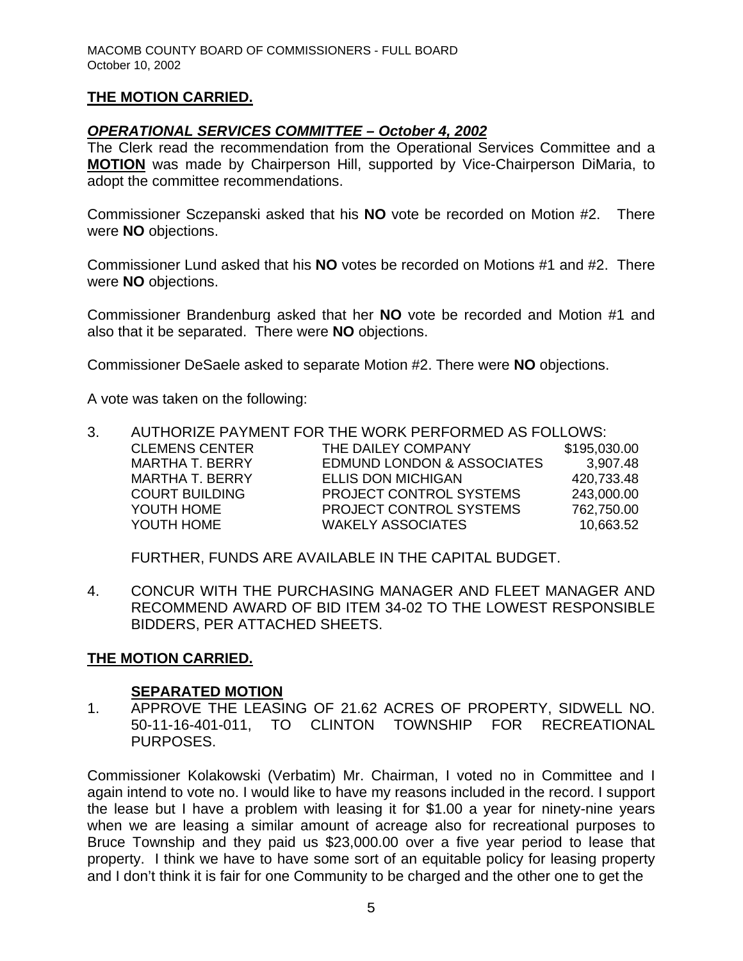## **THE MOTION CARRIED.**

### *OPERATIONAL SERVICES COMMITTEE – October 4, 2002*

The Clerk read the recommendation from the Operational Services Committee and a **MOTION** was made by Chairperson Hill, supported by Vice-Chairperson DiMaria, to adopt the committee recommendations.

Commissioner Sczepanski asked that his **NO** vote be recorded on Motion #2. There were **NO** objections.

Commissioner Lund asked that his **NO** votes be recorded on Motions #1 and #2. There were **NO** objections.

Commissioner Brandenburg asked that her **NO** vote be recorded and Motion #1 and also that it be separated. There were **NO** objections.

Commissioner DeSaele asked to separate Motion #2. There were **NO** objections.

A vote was taken on the following:

| 3. | AUTHORIZE PAYMENT FOR THE WORK PERFORMED AS FOLLOWS: |                                       |              |
|----|------------------------------------------------------|---------------------------------------|--------------|
|    | <b>CLEMENS CENTER</b>                                | THE DAILEY COMPANY                    | \$195,030.00 |
|    | <b>MARTHA T. BERRY</b>                               | <b>EDMUND LONDON &amp; ASSOCIATES</b> | 3,907.48     |
|    | <b>MARTHA T. BERRY</b>                               | <b>ELLIS DON MICHIGAN</b>             | 420,733.48   |
|    | <b>COURT BUILDING</b>                                | PROJECT CONTROL SYSTEMS               | 243,000.00   |
|    | YOUTH HOME                                           | PROJECT CONTROL SYSTEMS               | 762,750.00   |
|    | YOUTH HOME                                           | <b>WAKELY ASSOCIATES</b>              | 10,663.52    |

FURTHER, FUNDS ARE AVAILABLE IN THE CAPITAL BUDGET.

4. CONCUR WITH THE PURCHASING MANAGER AND FLEET MANAGER AND RECOMMEND AWARD OF BID ITEM 34-02 TO THE LOWEST RESPONSIBLE BIDDERS, PER ATTACHED SHEETS.

## **THE MOTION CARRIED.**

#### **SEPARATED MOTION**

1. APPROVE THE LEASING OF 21.62 ACRES OF PROPERTY, SIDWELL NO. 50-11-16-401-011, TO CLINTON TOWNSHIP FOR RECREATIONAL PURPOSES.

Commissioner Kolakowski (Verbatim) Mr. Chairman, I voted no in Committee and I again intend to vote no. I would like to have my reasons included in the record. I support the lease but I have a problem with leasing it for \$1.00 a year for ninety-nine years when we are leasing a similar amount of acreage also for recreational purposes to Bruce Township and they paid us \$23,000.00 over a five year period to lease that property. I think we have to have some sort of an equitable policy for leasing property and I don't think it is fair for one Community to be charged and the other one to get the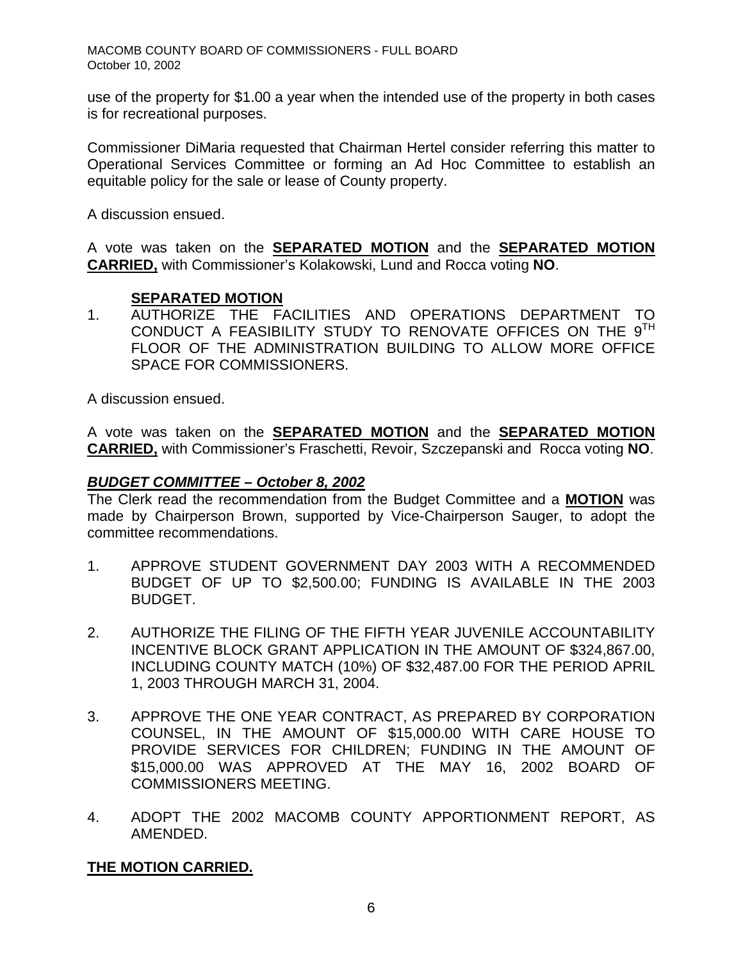use of the property for \$1.00 a year when the intended use of the property in both cases is for recreational purposes.

Commissioner DiMaria requested that Chairman Hertel consider referring this matter to Operational Services Committee or forming an Ad Hoc Committee to establish an equitable policy for the sale or lease of County property.

A discussion ensued.

A vote was taken on the **SEPARATED MOTION** and the **SEPARATED MOTION CARRIED,** with Commissioner's Kolakowski, Lund and Rocca voting **NO**.

## **SEPARATED MOTION**

1. AUTHORIZE THE FACILITIES AND OPERATIONS DEPARTMENT TO CONDUCT A FEASIBILITY STUDY TO RENOVATE OFFICES ON THE 9<sup>TH</sup> FLOOR OF THE ADMINISTRATION BUILDING TO ALLOW MORE OFFICE SPACE FOR COMMISSIONERS.

A discussion ensued.

A vote was taken on the **SEPARATED MOTION** and the **SEPARATED MOTION CARRIED,** with Commissioner's Fraschetti, Revoir, Szczepanski and Rocca voting **NO**.

## *BUDGET COMMITTEE – October 8, 2002*

The Clerk read the recommendation from the Budget Committee and a **MOTION** was made by Chairperson Brown, supported by Vice-Chairperson Sauger, to adopt the committee recommendations.

- 1. APPROVE STUDENT GOVERNMENT DAY 2003 WITH A RECOMMENDED BUDGET OF UP TO \$2,500.00; FUNDING IS AVAILABLE IN THE 2003 BUDGET.
- 2. AUTHORIZE THE FILING OF THE FIFTH YEAR JUVENILE ACCOUNTABILITY INCENTIVE BLOCK GRANT APPLICATION IN THE AMOUNT OF \$324,867.00, INCLUDING COUNTY MATCH (10%) OF \$32,487.00 FOR THE PERIOD APRIL 1, 2003 THROUGH MARCH 31, 2004.
- 3. APPROVE THE ONE YEAR CONTRACT, AS PREPARED BY CORPORATION COUNSEL, IN THE AMOUNT OF \$15,000.00 WITH CARE HOUSE TO PROVIDE SERVICES FOR CHILDREN; FUNDING IN THE AMOUNT OF \$15,000.00 WAS APPROVED AT THE MAY 16, 2002 BOARD OF COMMISSIONERS MEETING.
- 4. ADOPT THE 2002 MACOMB COUNTY APPORTIONMENT REPORT, AS AMENDED.

## **THE MOTION CARRIED.**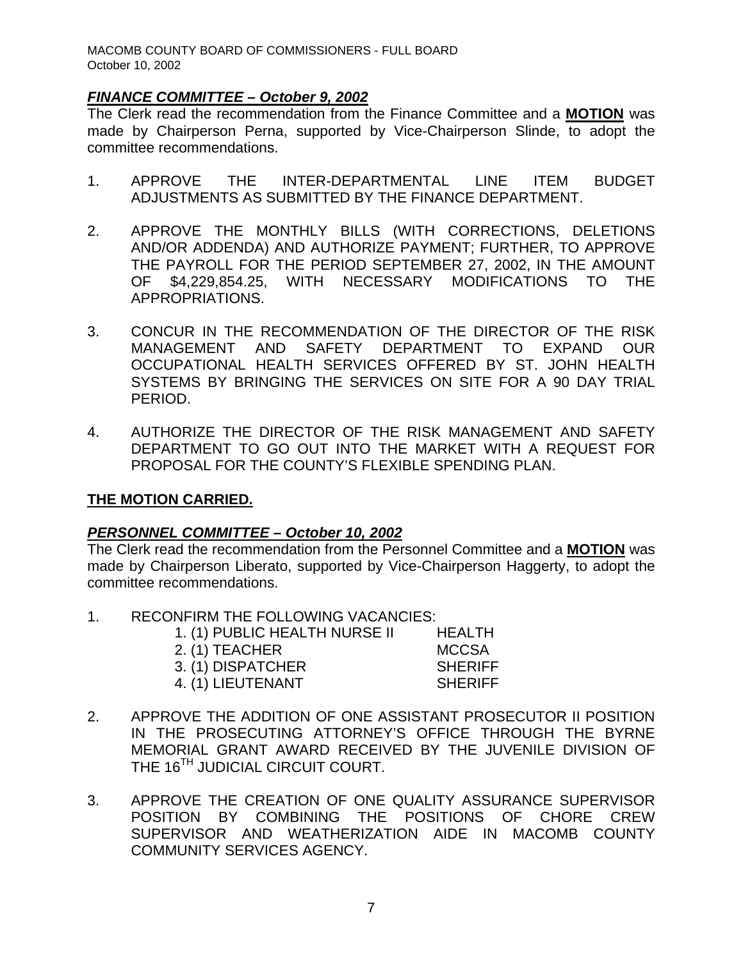MACOMB COUNTY BOARD OF COMMISSIONERS - FULL BOARD October 10, 2002

## *FINANCE COMMITTEE – October 9, 2002*

The Clerk read the recommendation from the Finance Committee and a **MOTION** was made by Chairperson Perna, supported by Vice-Chairperson Slinde, to adopt the committee recommendations.

- 1. APPROVE THE INTER-DEPARTMENTAL LINE ITEM BUDGET ADJUSTMENTS AS SUBMITTED BY THE FINANCE DEPARTMENT.
- 2. APPROVE THE MONTHLY BILLS (WITH CORRECTIONS, DELETIONS AND/OR ADDENDA) AND AUTHORIZE PAYMENT; FURTHER, TO APPROVE THE PAYROLL FOR THE PERIOD SEPTEMBER 27, 2002, IN THE AMOUNT OF \$4,229,854.25, WITH NECESSARY MODIFICATIONS TO THE APPROPRIATIONS.
- 3. CONCUR IN THE RECOMMENDATION OF THE DIRECTOR OF THE RISK MANAGEMENT AND SAFETY DEPARTMENT TO EXPAND OUR OCCUPATIONAL HEALTH SERVICES OFFERED BY ST. JOHN HEALTH SYSTEMS BY BRINGING THE SERVICES ON SITE FOR A 90 DAY TRIAL PERIOD.
- 4. AUTHORIZE THE DIRECTOR OF THE RISK MANAGEMENT AND SAFETY DEPARTMENT TO GO OUT INTO THE MARKET WITH A REQUEST FOR PROPOSAL FOR THE COUNTY'S FLEXIBLE SPENDING PLAN.

## **THE MOTION CARRIED.**

## *PERSONNEL COMMITTEE – October 10, 2002*

The Clerk read the recommendation from the Personnel Committee and a **MOTION** was made by Chairperson Liberato, supported by Vice-Chairperson Haggerty, to adopt the committee recommendations.

1. RECONFIRM THE FOLLOWING VACANCIES:

| 1. (1) PUBLIC HEALTH NURSE II | <b>HEALTH</b>  |
|-------------------------------|----------------|
| 2. (1) <b>TEACHER</b>         | <b>MCCSA</b>   |
| 3. (1) DISPATCHER             | <b>SHERIFF</b> |
| 4. (1) LIEUTENANT             | <b>SHERIFF</b> |

- 2. APPROVE THE ADDITION OF ONE ASSISTANT PROSECUTOR II POSITION IN THE PROSECUTING ATTORNEY'S OFFICE THROUGH THE BYRNE MEMORIAL GRANT AWARD RECEIVED BY THE JUVENILE DIVISION OF THE 16<sup>TH</sup> JUDICIAL CIRCUIT COURT.
- 3. APPROVE THE CREATION OF ONE QUALITY ASSURANCE SUPERVISOR POSITION BY COMBINING THE POSITIONS OF CHORE CREW SUPERVISOR AND WEATHERIZATION AIDE IN MACOMB COUNTY COMMUNITY SERVICES AGENCY.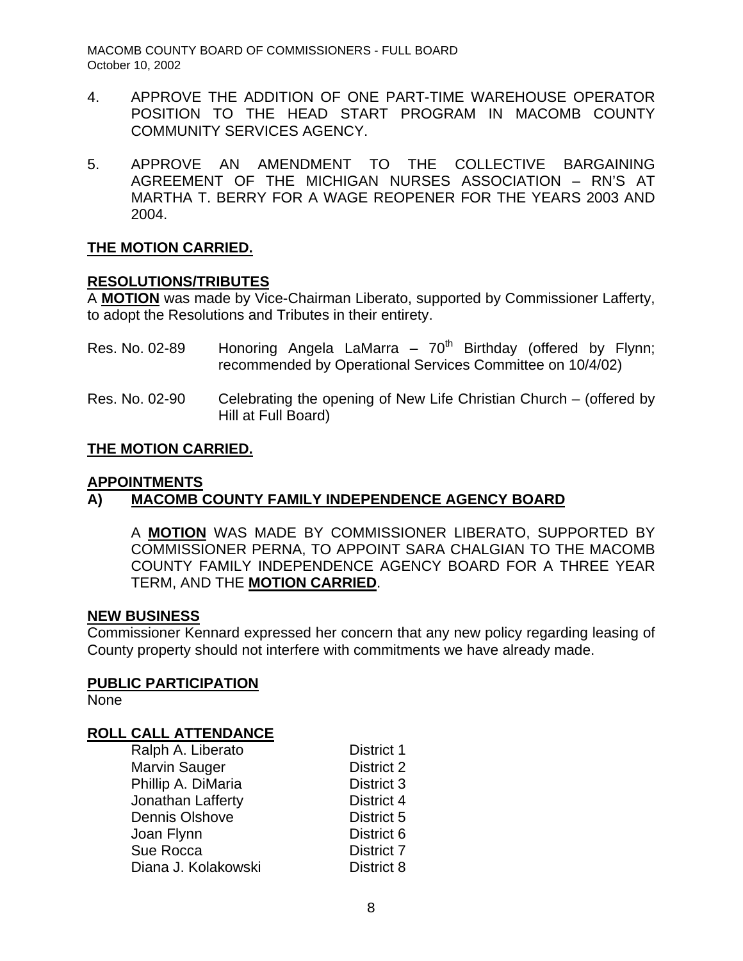MACOMB COUNTY BOARD OF COMMISSIONERS - FULL BOARD October 10, 2002

- 4. APPROVE THE ADDITION OF ONE PART-TIME WAREHOUSE OPERATOR POSITION TO THE HEAD START PROGRAM IN MACOMB COUNTY COMMUNITY SERVICES AGENCY.
- 5. APPROVE AN AMENDMENT TO THE COLLECTIVE BARGAINING AGREEMENT OF THE MICHIGAN NURSES ASSOCIATION – RN'S AT MARTHA T. BERRY FOR A WAGE REOPENER FOR THE YEARS 2003 AND 2004.

## **THE MOTION CARRIED.**

#### **RESOLUTIONS/TRIBUTES**

A **MOTION** was made by Vice-Chairman Liberato, supported by Commissioner Lafferty, to adopt the Resolutions and Tributes in their entirety.

- Res. No. 02-89 Honoring Angela LaMarra  $70<sup>th</sup>$  Birthday (offered by Flynn; recommended by Operational Services Committee on 10/4/02)
- Res. No. 02-90 Celebrating the opening of New Life Christian Church (offered by Hill at Full Board)

### **THE MOTION CARRIED.**

#### **APPOINTMENTS**

## **A) MACOMB COUNTY FAMILY INDEPENDENCE AGENCY BOARD**

A **MOTION** WAS MADE BY COMMISSIONER LIBERATO, SUPPORTED BY COMMISSIONER PERNA, TO APPOINT SARA CHALGIAN TO THE MACOMB COUNTY FAMILY INDEPENDENCE AGENCY BOARD FOR A THREE YEAR TERM, AND THE **MOTION CARRIED**.

#### **NEW BUSINESS**

Commissioner Kennard expressed her concern that any new policy regarding leasing of County property should not interfere with commitments we have already made.

#### **PUBLIC PARTICIPATION**

None

#### **ROLL CALL ATTENDANCE**

| Ralph A. Liberato     | District 1 |
|-----------------------|------------|
| <b>Marvin Sauger</b>  | District 2 |
| Phillip A. DiMaria    | District 3 |
| Jonathan Lafferty     | District 4 |
| <b>Dennis Olshove</b> | District 5 |
| Joan Flynn            | District 6 |
| Sue Rocca             | District 7 |
| Diana J. Kolakowski   | District 8 |